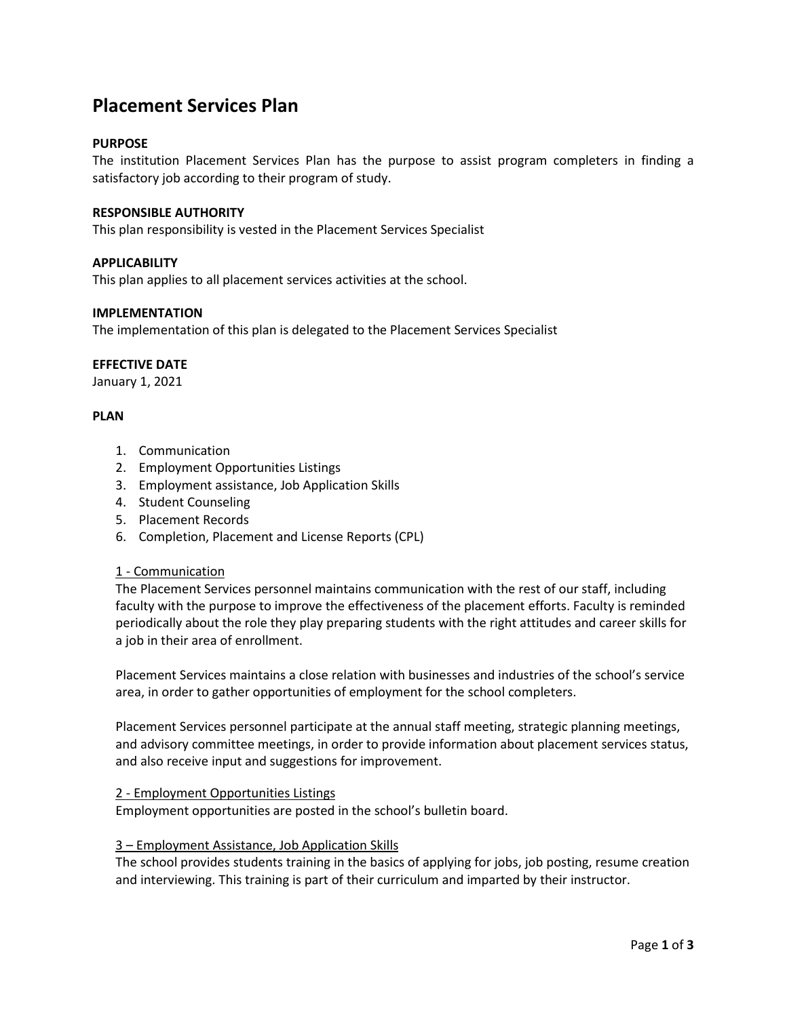# **Placement Services Plan**

# **PURPOSE**

The institution Placement Services Plan has the purpose to assist program completers in finding a satisfactory job according to their program of study.

## **RESPONSIBLE AUTHORITY**

This plan responsibility is vested in the Placement Services Specialist

# **APPLICABILITY**

This plan applies to all placement services activities at the school.

## **IMPLEMENTATION**

The implementation of this plan is delegated to the Placement Services Specialist

## **EFFECTIVE DATE**

January 1, 2021

# **PLAN**

- 1. Communication
- 2. Employment Opportunities Listings
- 3. Employment assistance, Job Application Skills
- 4. Student Counseling
- 5. Placement Records
- 6. Completion, Placement and License Reports (CPL)

## 1 - Communication

The Placement Services personnel maintains communication with the rest of our staff, including faculty with the purpose to improve the effectiveness of the placement efforts. Faculty is reminded periodically about the role they play preparing students with the right attitudes and career skills for a job in their area of enrollment.

Placement Services maintains a close relation with businesses and industries of the school's service area, in order to gather opportunities of employment for the school completers.

Placement Services personnel participate at the annual staff meeting, strategic planning meetings, and advisory committee meetings, in order to provide information about placement services status, and also receive input and suggestions for improvement.

## 2 - Employment Opportunities Listings

Employment opportunities are posted in the school's bulletin board.

## 3 – Employment Assistance, Job Application Skills

The school provides students training in the basics of applying for jobs, job posting, resume creation and interviewing. This training is part of their curriculum and imparted by their instructor.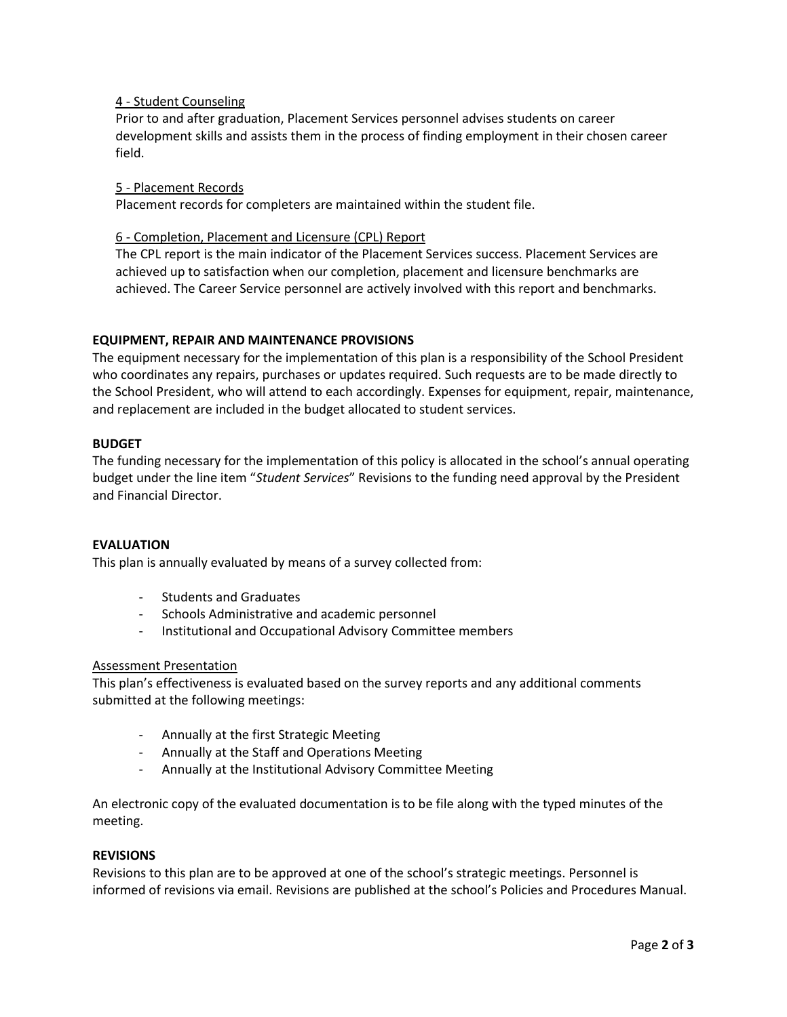# 4 - Student Counseling

Prior to and after graduation, Placement Services personnel advises students on career development skills and assists them in the process of finding employment in their chosen career field.

## 5 - Placement Records

Placement records for completers are maintained within the student file.

# 6 - Completion, Placement and Licensure (CPL) Report

The CPL report is the main indicator of the Placement Services success. Placement Services are achieved up to satisfaction when our completion, placement and licensure benchmarks are achieved. The Career Service personnel are actively involved with this report and benchmarks.

# **EQUIPMENT, REPAIR AND MAINTENANCE PROVISIONS**

The equipment necessary for the implementation of this plan is a responsibility of the School President who coordinates any repairs, purchases or updates required. Such requests are to be made directly to the School President, who will attend to each accordingly. Expenses for equipment, repair, maintenance, and replacement are included in the budget allocated to student services.

# **BUDGET**

The funding necessary for the implementation of this policy is allocated in the school's annual operating budget under the line item "*Student Services*" Revisions to the funding need approval by the President and Financial Director.

## **EVALUATION**

This plan is annually evaluated by means of a survey collected from:

- Students and Graduates
- Schools Administrative and academic personnel
- Institutional and Occupational Advisory Committee members

## Assessment Presentation

This plan's effectiveness is evaluated based on the survey reports and any additional comments submitted at the following meetings:

- Annually at the first Strategic Meeting
- Annually at the Staff and Operations Meeting
- Annually at the Institutional Advisory Committee Meeting

An electronic copy of the evaluated documentation is to be file along with the typed minutes of the meeting.

## **REVISIONS**

Revisions to this plan are to be approved at one of the school's strategic meetings. Personnel is informed of revisions via email. Revisions are published at the school's Policies and Procedures Manual.